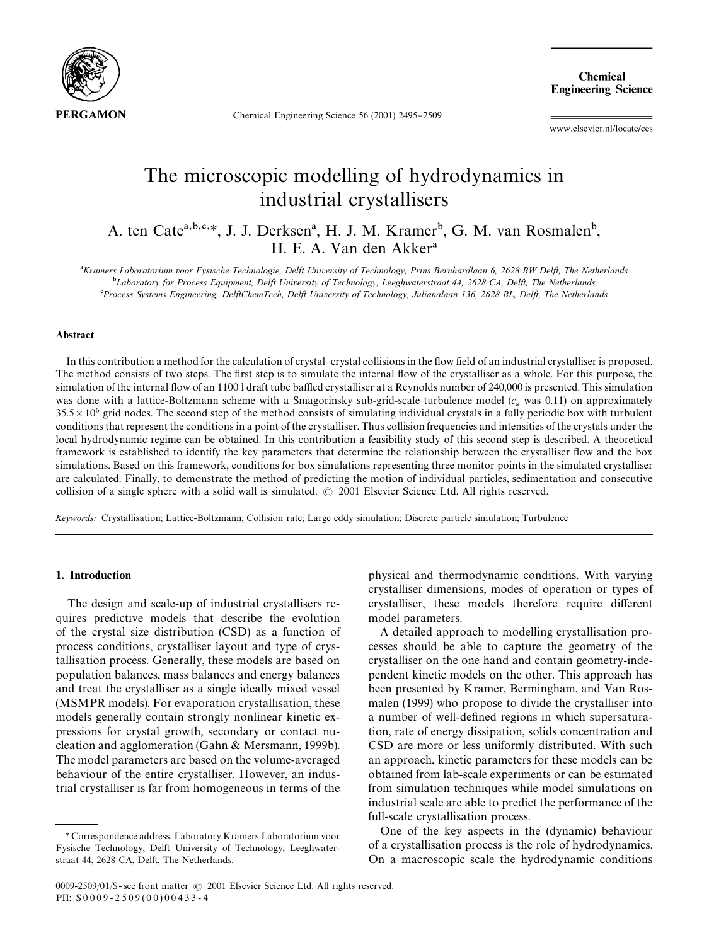

Chemical Engineering Science 56 (2001) 2495-2509

**Chemical Engineering Science** 

www.elsevier.nl/locate/ces

# The microscopic modelling of hydrodynamics in industrial crystallisers

A. ten Cate<sup>a,b,c,\*</sup>, J. J. Derksen<sup>a</sup>, H. J. M. Kramer<sup>b</sup>, G. M. van Rosmalen<sup>b</sup>, H. E. A. Van den Akker

*Kramers Laboratorium voor Fysische Technologie, Delft University of Technology, Prins Bernhardlaan 6, 2628 BW Delft, The Netherlands* -*Laboratory for Process Equipment, Delft University of Technology, Leeghwaterstraat 44, 2628 CA, Delft, The Netherlands Process Systems Engineering, DelftChemTech, Delft University of Technology, Julianalaan 136, 2628 BL, Delft, The Netherlands*

# Abstract

In this contribution a method for the calculation of crystal–crystal collisions in the flow field of an industrial crystalliser is proposed. The method consists of two steps. The first step is to simulate the internal flow of the crystalliser as a whole. For this purpose, the simulation of the internal flow of an 1100 l draft tube baffled crystalliser at a Reynolds number of 240,000 is presented. This simulation was done with a lattice-Boltzmann scheme with a Smagorinsky sub-grid-scale turbulence model  $(c_s$  was 0.11) on approximately  $35.5 \times 10^6$  grid nodes. The second step of the method consists of simulating individual crystals in a fully periodic box with turbulent conditions that represent the conditions in a point of the crystalliser. Thus collision frequencies and intensities of the crystals under the local hydrodynamic regime can be obtained. In this contribution a feasibility study of this second step is described. A theoretical framework is established to identify the key parameters that determine the relationship between the crystalliser flow and the box simulations. Based on this framework, conditions for box simulations representing three monitor points in the simulated crystalliser are calculated. Finally, to demonstrate the method of predicting the motion of individual particles, sedimentation and consecutive collision of a single sphere with a solid wall is simulated.  $\odot$  2001 Elsevier Science Ltd. All rights reserved.

*Keywords:* Crystallisation; Lattice-Boltzmann; Collision rate; Large eddy simulation; Discrete particle simulation; Turbulence

# 1. Introduction

The design and scale-up of industrial crystallisers requires predictive models that describe the evolution of the crystal size distribution (CSD) as a function of process conditions, crystalliser layout and type of crystallisation process. Generally, these models are based on population balances, mass balances and energy balances and treat the crystalliser as a single ideally mixed vessel (MSMPR models). For evaporation crystallisation, these models generally contain strongly nonlinear kinetic expressions for crystal growth, secondary or contact nucleation and agglomeration (Gahn & Mersmann, 1999b). The model parameters are based on the volume-averaged behaviour of the entire crystalliser. However, an industrial crystalliser is far from homogeneous in terms of the

physical and thermodynamic conditions. With varying crystalliser dimensions, modes of operation or types of crystalliser, these models therefore require different model parameters.

A detailed approach to modelling crystallisation processes should be able to capture the geometry of the crystalliser on the one hand and contain geometry-independent kinetic models on the other. This approach has been presented by Kramer, Bermingham, and Van Rosmalen (1999) who propose to divide the crystalliser into a number of well-defined regions in which supersaturation, rate of energy dissipation, solids concentration and CSD are more or less uniformly distributed. With such an approach, kinetic parameters for these models can be obtained from lab-scale experiments or can be estimated from simulation techniques while model simulations on industrial scale are able to predict the performance of the full-scale crystallisation process.

One of the key aspects in the (dynamic) behaviour of a crystallisation process is the role of hydrodynamics. On a macroscopic scale the hydrodynamic conditions

*<sup>\*</sup>* Correspondence address. Laboratory Kramers Laboratorium voor Fysische Technology, Delft University of Technology, Leeghwaterstraat 44, 2628 CA, Delft, The Netherlands.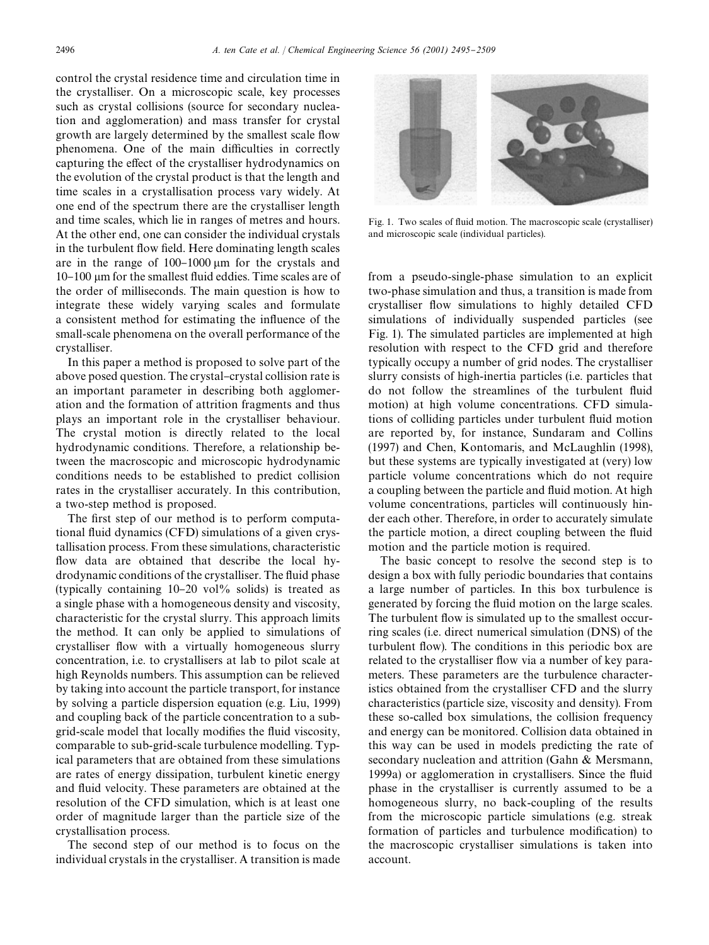control the crystal residence time and circulation time in the crystalliser. On a microscopic scale, key processes such as crystal collisions (source for secondary nucleation and agglomeration) and mass transfer for crystal growth are largely determined by the smallest scale flow phenomena. One of the main difficulties in correctly capturing the effect of the crystalliser hydrodynamics on the evolution of the crystal product is that the length and time scales in a crystallisation process vary widely. At one end of the spectrum there are the crystalliser length and time scales, which lie in ranges of metres and hours. At the other end, one can consider the individual crystals in the turbulent flow field. Here dominating length scales are in the range of  $100-1000 \mu m$  for the crystals and 10–100 µm for the smallest fluid eddies. Time scales are of the order of milliseconds. The main question is how to integrate these widely varying scales and formulate a consistent method for estimating the influence of the small-scale phenomena on the overall performance of the crystalliser.

In this paper a method is proposed to solve part of the above posed question. The crystal-crystal collision rate is an important parameter in describing both agglomeration and the formation of attrition fragments and thus plays an important role in the crystalliser behaviour. The crystal motion is directly related to the local hydrodynamic conditions. Therefore, a relationship between the macroscopic and microscopic hydrodynamic conditions needs to be established to predict collision rates in the crystalliser accurately. In this contribution, a two-step method is proposed.

The first step of our method is to perform computational fluid dynamics (CFD) simulations of a given crystallisation process. From these simulations, characteristic flow data are obtained that describe the local hydrodynamic conditions of the crystalliser. The fluid phase (typically containing  $10-20$  vol% solids) is treated as a single phase with a homogeneous density and viscosity, characteristic for the crystal slurry. This approach limits the method. It can only be applied to simulations of crystalliser flow with a virtually homogeneous slurry concentration, i.e. to crystallisers at lab to pilot scale at high Reynolds numbers. This assumption can be relieved by taking into account the particle transport, for instance by solving a particle dispersion equation (e.g. Liu, 1999) and coupling back of the particle concentration to a subgrid-scale model that locally modifies the fluid viscosity, comparable to sub-grid-scale turbulence modelling. Typical parameters that are obtained from these simulations are rates of energy dissipation, turbulent kinetic energy and fluid velocity. These parameters are obtained at the resolution of the CFD simulation, which is at least one order of magnitude larger than the particle size of the crystallisation process.

The second step of our method is to focus on the individual crystals in the crystalliser. A transition is made



Fig. 1. Two scales of fluid motion. The macroscopic scale (crystalliser) and microscopic scale (individual particles).

from a pseudo-single-phase simulation to an explicit two-phase simulation and thus, a transition is made from crystalliser flow simulations to highly detailed CFD simulations of individually suspended particles (see Fig. 1). The simulated particles are implemented at high resolution with respect to the CFD grid and therefore typically occupy a number of grid nodes. The crystalliser slurry consists of high-inertia particles (i.e. particles that do not follow the streamlines of the turbulent fluid motion) at high volume concentrations. CFD simulations of colliding particles under turbulent fluid motion are reported by, for instance, Sundaram and Collins (1997) and Chen, Kontomaris, and McLaughlin (1998), but these systems are typically investigated at (very) low particle volume concentrations which do not require a coupling between the particle and fluid motion. At high volume concentrations, particles will continuously hinder each other. Therefore, in order to accurately simulate the particle motion, a direct coupling between the fluid motion and the particle motion is required.

The basic concept to resolve the second step is to design a box with fully periodic boundaries that contains a large number of particles. In this box turbulence is generated by forcing the fluid motion on the large scales. The turbulent flow is simulated up to the smallest occurring scales (i.e. direct numerical simulation (DNS) of the turbulent flow). The conditions in this periodic box are related to the crystalliser flow via a number of key parameters. These parameters are the turbulence characteristics obtained from the crystalliser CFD and the slurry characteristics (particle size, viscosity and density). From these so-called box simulations, the collision frequency and energy can be monitored. Collision data obtained in this way can be used in models predicting the rate of secondary nucleation and attrition (Gahn & Mersmann, 1999a) or agglomeration in crystallisers. Since the fluid phase in the crystalliser is currently assumed to be a homogeneous slurry, no back-coupling of the results from the microscopic particle simulations (e.g. streak formation of particles and turbulence modification) to the macroscopic crystalliser simulations is taken into account.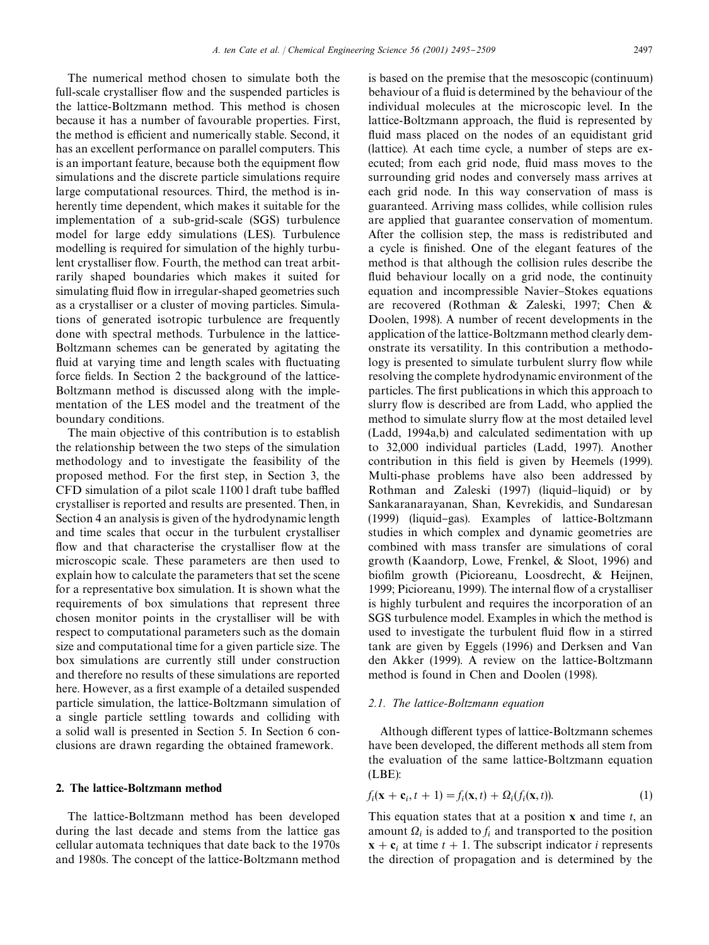The numerical method chosen to simulate both the full-scale crystalliser flow and the suspended particles is the lattice-Boltzmann method. This method is chosen because it has a number of favourable properties. First, the method is efficient and numerically stable. Second, it has an excellent performance on parallel computers. This is an important feature, because both the equipment flow simulations and the discrete particle simulations require large computational resources. Third, the method is inherently time dependent, which makes it suitable for the implementation of a sub-grid-scale (SGS) turbulence model for large eddy simulations (LES). Turbulence modelling is required for simulation of the highly turbulent crystalliser flow. Fourth, the method can treat arbitrarily shaped boundaries which makes it suited for simulating fluid flow in irregular-shaped geometries such as a crystalliser or a cluster of moving particles. Simulations of generated isotropic turbulence are frequently done with spectral methods. Turbulence in the lattice-Boltzmann schemes can be generated by agitating the fluid at varying time and length scales with fluctuating force fields. In Section 2 the background of the lattice-Boltzmann method is discussed along with the implementation of the LES model and the treatment of the boundary conditions.

The main objective of this contribution is to establish the relationship between the two steps of the simulation methodology and to investigate the feasibility of the proposed method. For the first step, in Section 3, the  $CFD$  simulation of a pilot scale  $1100$  l draft tube baffled crystalliser is reported and results are presented. Then, in Section 4an analysis is given of the hydrodynamic length and time scales that occur in the turbulent crystalliser flow and that characterise the crystalliser flow at the microscopic scale. These parameters are then used to explain how to calculate the parameters that set the scene for a representative box simulation. It is shown what the requirements of box simulations that represent three chosen monitor points in the crystalliser will be with respect to computational parameters such as the domain size and computational time for a given particle size. The box simulations are currently still under construction and therefore no results of these simulations are reported here. However, as a first example of a detailed suspended particle simulation, the lattice-Boltzmann simulation of a single particle settling towards and colliding with a solid wall is presented in Section 5. In Section 6 conclusions are drawn regarding the obtained framework.

# 2. The lattice-Boltzmann method

The lattice-Boltzmann method has been developed during the last decade and stems from the lattice gas cellular automata techniques that date back to the 1970s and 1980s. The concept of the lattice-Boltzmann method is based on the premise that the mesoscopic (continuum) behaviour of a fluid is determined by the behaviour of the individual molecules at the microscopic level. In the lattice-Boltzmann approach, the fluid is represented by fluid mass placed on the nodes of an equidistant grid (lattice). At each time cycle, a number of steps are executed; from each grid node, fluid mass moves to the surrounding grid nodes and conversely mass arrives at each grid node. In this way conservation of mass is guaranteed. Arriving mass collides, while collision rules are applied that guarantee conservation of momentum. After the collision step, the mass is redistributed and a cycle is finished. One of the elegant features of the method is that although the collision rules describe the fluid behaviour locally on a grid node, the continuity equation and incompressible Navier-Stokes equations are recovered (Rothman & Zaleski, 1997; Chen & Doolen, 1998). A number of recent developments in the application of the lattice-Boltzmann method clearly demonstrate its versatility. In this contribution a methodology is presented to simulate turbulent slurry flow while resolving the complete hydrodynamic environment of the particles. The first publications in which this approach to slurry flow is described are from Ladd, who applied the method to simulate slurry flow at the most detailed level (Ladd, 1994a,b) and calculated sedimentation with up to 32,000 individual particles (Ladd, 1997). Another contribution in this field is given by Heemels (1999). Multi-phase problems have also been addressed by Rothman and Zaleski  $(1997)$  (liquid-liquid) or by Sankaranarayanan, Shan, Kevrekidis, and Sundaresan (1999) (liquid-gas). Examples of lattice-Boltzmann studies in which complex and dynamic geometries are combined with mass transfer are simulations of coral growth (Kaandorp, Lowe, Frenkel, & Sloot, 1996) and biofilm growth (Picioreanu, Loosdrecht, & Heijnen, 1999; Picioreanu, 1999). The internal flow of a crystalliser is highly turbulent and requires the incorporation of an SGS turbulence model. Examples in which the method is used to investigate the turbulent fluid flow in a stirred tank are given by Eggels (1996) and Derksen and Van den Akker (1999). A review on the lattice-Boltzmann method is found in Chen and Doolen (1998).

## *2.1. The lattice-Boltzmann equation*

Although different types of lattice-Boltzmann schemes have been developed, the different methods all stem from the evaluation of the same lattice-Boltzmann equation (LBE):

$$
f_i(\mathbf{x} + \mathbf{c}_i, t + 1) = f_i(\mathbf{x}, t) + \Omega_i(f_i(\mathbf{x}, t)).
$$
\n(1)

This equation states that at a position x and time *t*, an amount  $\Omega_i$  is added to  $f_i$  and transported to the position  $\mathbf{x} + \mathbf{c}_i$  at time  $t + 1$ . The subscript indicator *i* represents the direction of propagation and is determined by the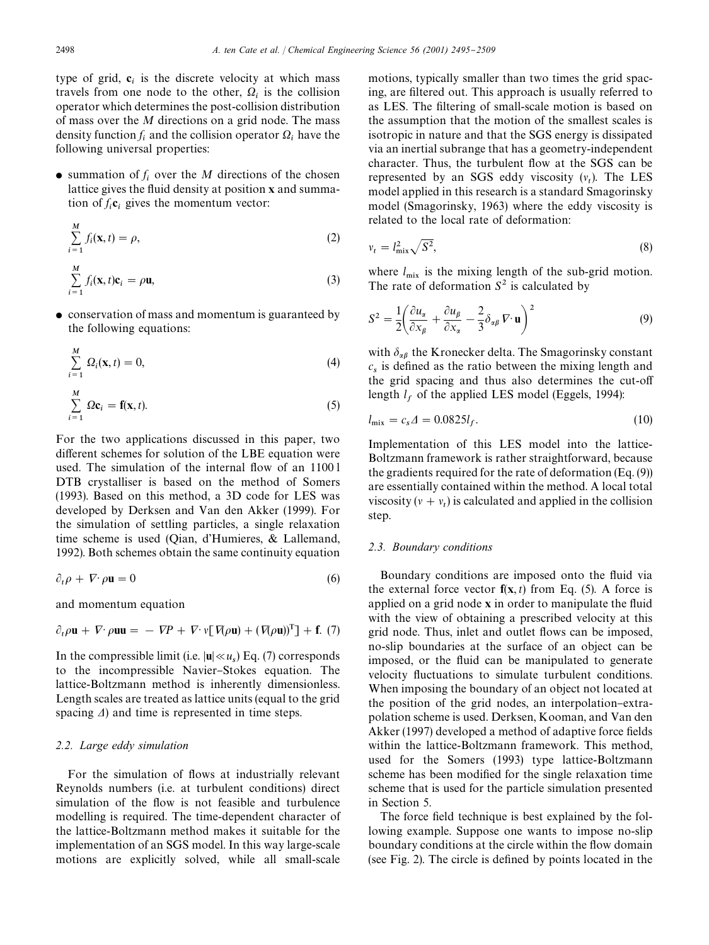type of grid,  $c_i$  is the discrete velocity at which mass travels from one node to the other,  $Q_i$  is the collision operator which determines the post-collision distribution of mass over the *M* directions on a grid node. The mass density function  $f_i$  and the collision operator  $\Omega_i$  have the following universal properties:

 $\bullet$  summation of  $f_i$  over the *M* directions of the chosen lattice gives the fluid density at position x and summation of  $f_i$ **c**<sub>i</sub> gives the momentum vector:

$$
\sum_{i=1}^{M} f_i(\mathbf{x}, t) = \rho,
$$
\n(2)

$$
\sum_{i=1}^{M} f_i(\mathbf{x}, t)\mathbf{c}_i = \rho \mathbf{u},
$$
\n(3)

• conservation of mass and momentum is guaranteed by the following equations:

$$
\sum_{i=1}^{M} \Omega_i(\mathbf{x}, t) = 0,
$$
\n(4)

$$
\sum_{i=1}^{M} \Omega \mathbf{c}_i = \mathbf{f}(\mathbf{x}, t). \tag{5}
$$

For the two applications discussed in this paper, two different schemes for solution of the LBE equation were used. The simulation of the internal flow of an 1100 l DTB crystalliser is based on the method of Somers (1993). Based on this method, a 3D code for LES was developed by Derksen and Van den Akker (1999). For the simulation of settling particles, a single relaxation time scheme is used (Qian, d'Humieres, & Lallemand, 1992). Both schemes obtain the same continuity equation

$$
\partial_t \rho + \nabla \cdot \rho \mathbf{u} = 0 \tag{6}
$$

and momentum equation

$$
\partial_t \rho \mathbf{u} + \nabla \cdot \rho \mathbf{u} \mathbf{u} = - \nabla P + \nabla \cdot \mathbf{v} [\nabla(\rho \mathbf{u}) + (\nabla(\rho \mathbf{u}))^T] + \mathbf{f}. (7)
$$

In the compressible limit (i.e.  $|\mathbf{u}| \ll u_s$ ) Eq. (7) corresponds to the incompressible Navier-Stokes equation. The lattice-Boltzmann method is inherently dimensionless. Length scales are treated as lattice units (equal to the grid spacing  $\Delta$ ) and time is represented in time steps.

#### *2.2. Large eddy simulation*

For the simulation of flows at industrially relevant Reynolds numbers (i.e. at turbulent conditions) direct simulation of the flow is not feasible and turbulence modelling is required. The time-dependent character of the lattice-Boltzmann method makes it suitable for the implementation of an SGS model. In this way large-scale motions are explicitly solved, while all small-scale

motions, typically smaller than two times the grid spacing, are filtered out. This approach is usually referred to as LES. The filtering of small-scale motion is based on the assumption that the motion of the smallest scales is isotropic in nature and that the SGS energy is dissipated via an inertial subrange that has a geometry-independent character. Thus, the turbulent flow at the SGS can be represented by an SGS eddy viscosity  $(v_t)$ . The LES model applied in this research is a standard Smagorinsky model (Smagorinsky, 1963) where the eddy viscosity is related to the local rate of deformation:

$$
v_t = l_{\text{mix}}^2 \sqrt{S^2},\tag{8}
$$

where  $l_{\text{mix}}$  is the mixing length of the sub-grid motion. The rate of deformation  $S^2$  is calculated by

$$
S^{2} = \frac{1}{2} \left( \frac{\partial u_{\alpha}}{\partial x_{\beta}} + \frac{\partial u_{\beta}}{\partial x_{\alpha}} - \frac{2}{3} \delta_{\alpha\beta} \nabla \cdot \mathbf{u} \right)^{2}
$$
(9)

with  $\delta_{\alpha\beta}$  the Kronecker delta. The Smagorinsky constant  $c_s$  is defined as the ratio between the mixing length and the grid spacing and thus also determines the cut-off length  $l_f$  of the applied LES model (Eggels, 1994):

$$
l_{\text{mix}} = c_s \Delta = 0.0825 l_f. \tag{10}
$$

Implementation of this LES model into the lattice-Boltzmann framework is rather straightforward, because the gradients required for the rate of deformation (Eq. (9)) are essentially contained within the method. A local total viscosity  $(v + v_t)$  is calculated and applied in the collision step.

#### *2.3. Boundary conditions*

Boundary conditions are imposed onto the fluid via the external force vector  $f(x, t)$  from Eq. (5). A force is applied on a grid node  $x$  in order to manipulate the fluid with the view of obtaining a prescribed velocity at this grid node. Thus, inlet and outlet #ows can be imposed, no-slip boundaries at the surface of an object can be imposed, or the fluid can be manipulated to generate velocity fluctuations to simulate turbulent conditions. When imposing the boundary of an object not located at the position of the grid nodes, an interpolation-extrapolation scheme is used. Derksen, Kooman, and Van den Akker (1997) developed a method of adaptive force fields within the lattice-Boltzmann framework. This method, used for the Somers (1993) type lattice-Boltzmann scheme has been modified for the single relaxation time scheme that is used for the particle simulation presented in Section 5.

The force field technique is best explained by the following example. Suppose one wants to impose no-slip boundary conditions at the circle within the flow domain (see Fig. 2). The circle is defined by points located in the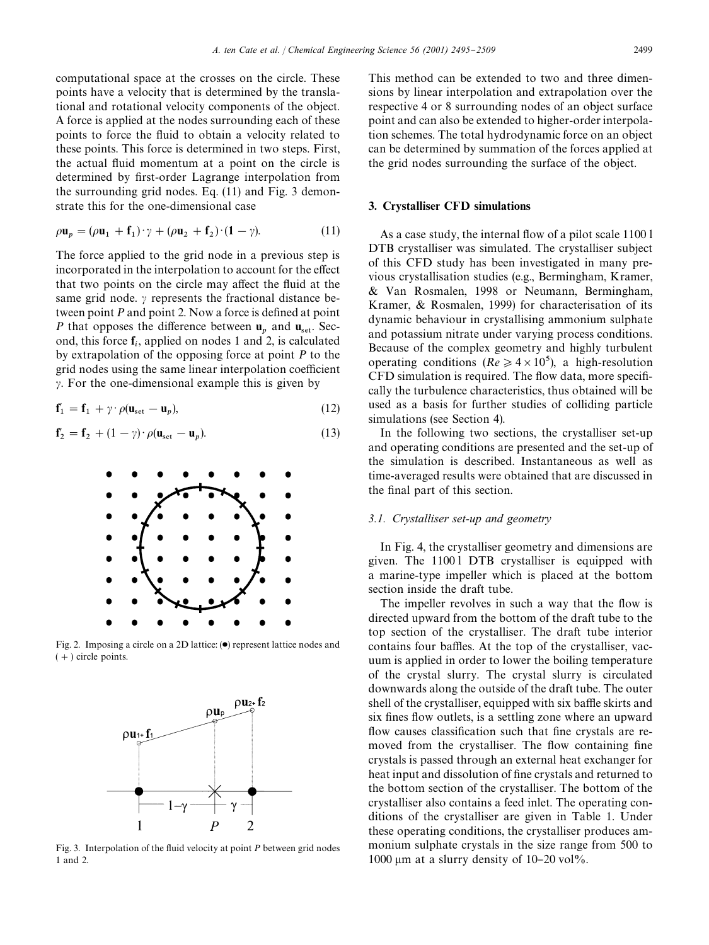computational space at the crosses on the circle. These points have a velocity that is determined by the translational and rotational velocity components of the object. A force is applied at the nodes surrounding each of these points to force the #uid to obtain a velocity related to these points. This force is determined in two steps. First, the actual fluid momentum at a point on the circle is determined by first-order Lagrange interpolation from the surrounding grid nodes. Eq. (11) and Fig. 3 demonstrate this for the one-dimensional case

$$
\rho \mathbf{u}_p = (\rho \mathbf{u}_1 + \mathbf{f}_1) \cdot \gamma + (\rho \mathbf{u}_2 + \mathbf{f}_2) \cdot (\mathbf{1} - \gamma). \tag{11}
$$

The force applied to the grid node in a previous step is incorporated in the interpolation to account for the effect that two points on the circle may affect the fluid at the same grid node.  $\gamma$  represents the fractional distance between point *P* and point 2. Now a force is defined at point *P* that opposes the difference between  $\mathbf{u}_p$  and  $\mathbf{u}_{\text{set}}$ . Second, this force  $f_i$ , applied on nodes 1 and 2, is calculated by extrapolation of the opposing force at point *P* to the grid nodes using the same linear interpolation coefficient  $\gamma$ . For the one-dimensional example this is given by

$$
\mathbf{f}'_1 = \mathbf{f}_1 + \gamma \cdot \rho(\mathbf{u}_{\text{set}} - \mathbf{u}_p),\tag{12}
$$

$$
\mathbf{f}'_2 = \mathbf{f}_2 + (1 - \gamma) \cdot \rho(\mathbf{u}_{\text{set}} - \mathbf{u}_p). \tag{13}
$$



Fig. 2. Imposing a circle on a 2D lattice:  $(•)$  represent lattice nodes and  $(+)$  circle points.



Fig. 3. Interpolation of the fluid velocity at point *P* between grid nodes 1 and 2.

This method can be extended to two and three dimensions by linear interpolation and extrapolation over the respective 4or 8 surrounding nodes of an object surface point and can also be extended to higher-order interpolation schemes. The total hydrodynamic force on an object can be determined by summation of the forces applied at the grid nodes surrounding the surface of the object.

## 3. Crystalliser CFD simulations

As a case study, the internal flow of a pilot scale 1100 l DTB crystalliser was simulated. The crystalliser subject of this CFD study has been investigated in many previous crystallisation studies (e.g., Bermingham, Kramer, & Van Rosmalen, 1998 or Neumann, Bermingham, Kramer, & Rosmalen, 1999) for characterisation of its dynamic behaviour in crystallising ammonium sulphate and potassium nitrate under varying process conditions. Because of the complex geometry and highly turbulent operating conditions ( $Re \ge 4 \times 10^5$ ), a high-resolution CFD simulation is required. The flow data, more specifically the turbulence characteristics, thus obtained will be used as a basis for further studies of colliding particle simulations (see Section 4).

In the following two sections, the crystalliser set-up and operating conditions are presented and the set-up of the simulation is described. Instantaneous as well as time-averaged results were obtained that are discussed in the final part of this section.

## *3.1. Crystalliser set-up and geometry*

In Fig. 4, the crystalliser geometry and dimensions are given. The 11001 DTB crystalliser is equipped with a marine-type impeller which is placed at the bottom section inside the draft tube.

The impeller revolves in such a way that the flow is directed upward from the bottom of the draft tube to the top section of the crystalliser. The draft tube interior contains four baffles. At the top of the crystalliser, vacuum is applied in order to lower the boiling temperature of the crystal slurry. The crystal slurry is circulated downwards along the outside of the draft tube. The outer shell of the crystalliser, equipped with six baffle skirts and six fines flow outlets, is a settling zone where an upward flow causes classification such that fine crystals are removed from the crystalliser. The flow containing fine crystals is passed through an external heat exchanger for heat input and dissolution of fine crystals and returned to the bottom section of the crystalliser. The bottom of the crystalliser also contains a feed inlet. The operating conditions of the crystalliser are given in Table 1. Under these operating conditions, the crystalliser produces ammonium sulphate crystals in the size range from 500 to 1000  $\mu$ m at a slurry density of 10–20 vol%.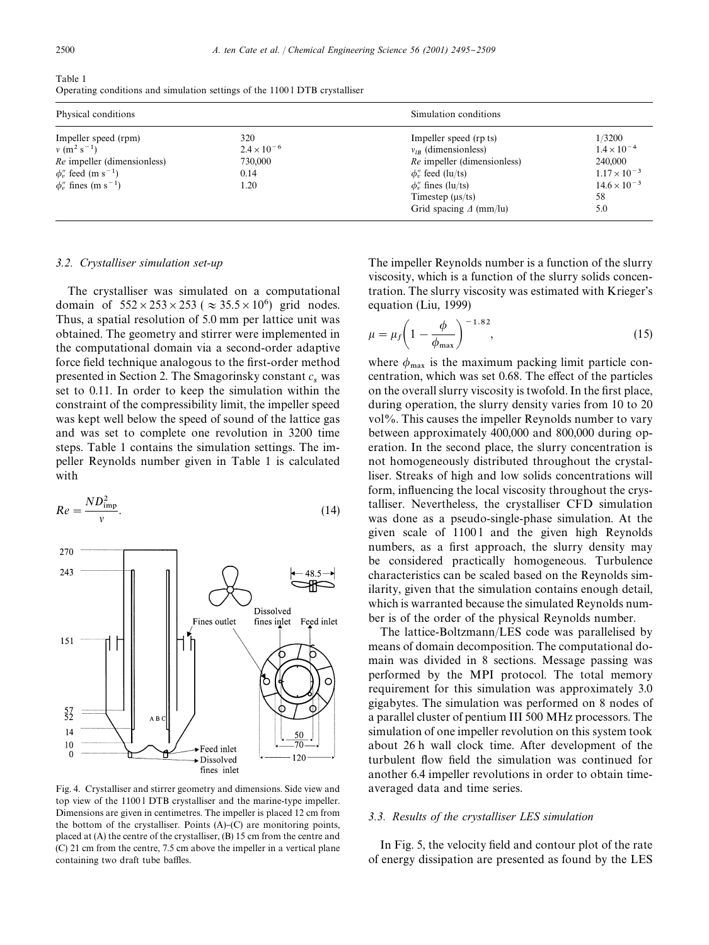| Table 1                                                                     |  |
|-----------------------------------------------------------------------------|--|
| Operating conditions and simulation settings of the 1100 I DTB crystalliser |  |

| Physical conditions                                                                                                                                  |                                                        | Simulation conditions                                                                                                                                                                                   |                                                                                                          |
|------------------------------------------------------------------------------------------------------------------------------------------------------|--------------------------------------------------------|---------------------------------------------------------------------------------------------------------------------------------------------------------------------------------------------------------|----------------------------------------------------------------------------------------------------------|
| Impeller speed (rpm)<br>$v (m^2 s^{-1})$<br>Re impeller (dimensionless)<br>$\phi_v$ feed (m s <sup>-1</sup> )<br>$\phi''$ fines (m s <sup>-1</sup> ) | 320<br>$2.4 \times 10^{-6}$<br>730,000<br>0.14<br>1.20 | Impeller speed (rp ts)<br>$v_{IR}$ (dimensionless)<br><i>Re</i> impeller (dimensionless)<br>$\phi''_r$ feed (lu/ts)<br>$\phi''$ fines (lu/ts)<br>Timestep $(\mu s/ts)$<br>Grid spacing $\Delta$ (mm/lu) | 1/3200<br>$1.4 \times 10^{-4}$<br>240,000<br>$1.17 \times 10^{-3}$<br>$14.6 \times 10^{-3}$<br>58<br>5.0 |

#### *3.2. Crystalliser simulation set-up*

The crystalliser was simulated on a computational domain of  $552 \times 253 \times 253$  ( $\approx 35.5 \times 10^6$ ) grid nodes. Thus, a spatial resolution of 5.0 mm per lattice unit was obtained. The geometry and stirrer were implemented in the computational domain via a second-order adaptive force field technique analogous to the first-order method presented in Section 2. The Smagorinsky constant *c* was set to 0.11. In order to keep the simulation within the constraint of the compressibility limit, the impeller speed was kept well below the speed of sound of the lattice gas and was set to complete one revolution in 3200 time steps. Table 1 contains the simulation settings. The impeller Reynolds number given in Table 1 is calculated with

$$
Re = \frac{ND_{\rm imp}^2}{v}.
$$
 (14)



Fig. 4. Crystalliser and stirrer geometry and dimensions. Side view and top view of the 1100 l DTB crystalliser and the marine-type impeller. Dimensions are given in centimetres. The impeller is placed 12 cm from the bottom of the crystalliser. Points  $(A)$ – $(C)$  are monitoring points, placed at (A) the centre of the crystalliser, (B) 15 cm from the centre and (C) 21 cm from the centre, 7.5 cm above the impeller in a vertical plane containing two draft tube baffles.

The impeller Reynolds number is a function of the slurry viscosity, which is a function of the slurry solids concentration. The slurry viscosity was estimated with Krieger's equation (Liu, 1999)

$$
\mu = \mu_f \left( 1 - \frac{\phi}{\phi_{\text{max}}} \right)^{-1.82},\tag{15}
$$

where  $\phi_{\text{max}}$  is the maximum packing limit particle concentration, which was set 0.68. The effect of the particles on the overall slurry viscosity is twofold. In the first place, during operation, the slurry density varies from 10 to 20 vol%. This causes the impeller Reynolds number to vary between approximately 400,000 and 800,000 during operation. In the second place, the slurry concentration is not homogeneously distributed throughout the crystalliser. Streaks of high and low solids concentrations will form, influencing the local viscosity throughout the crystalliser. Nevertheless, the crystalliser CFD simulation was done as a pseudo-single-phase simulation. At the given scale of 11001 and the given high Reynolds numbers, as a first approach, the slurry density may be considered practically homogeneous. Turbulence characteristics can be scaled based on the Reynolds similarity, given that the simulation contains enough detail, which is warranted because the simulated Reynolds number is of the order of the physical Reynolds number.

The lattice-Boltzmann/LES code was parallelised by means of domain decomposition. The computational domain was divided in 8 sections. Message passing was performed by the MPI protocol. The total memory requirement for this simulation was approximately 3.0 gigabytes. The simulation was performed on 8 nodes of a parallel cluster of pentium III 500 MHz processors. The simulation of one impeller revolution on this system took about 26 h wall clock time. After development of the turbulent flow field the simulation was continued for another 6.4 impeller revolutions in order to obtain timeaveraged data and time series.

## *3.3. Results of the crystalliser LES simulation*

In Fig. 5, the velocity field and contour plot of the rate of energy dissipation are presented as found by the LES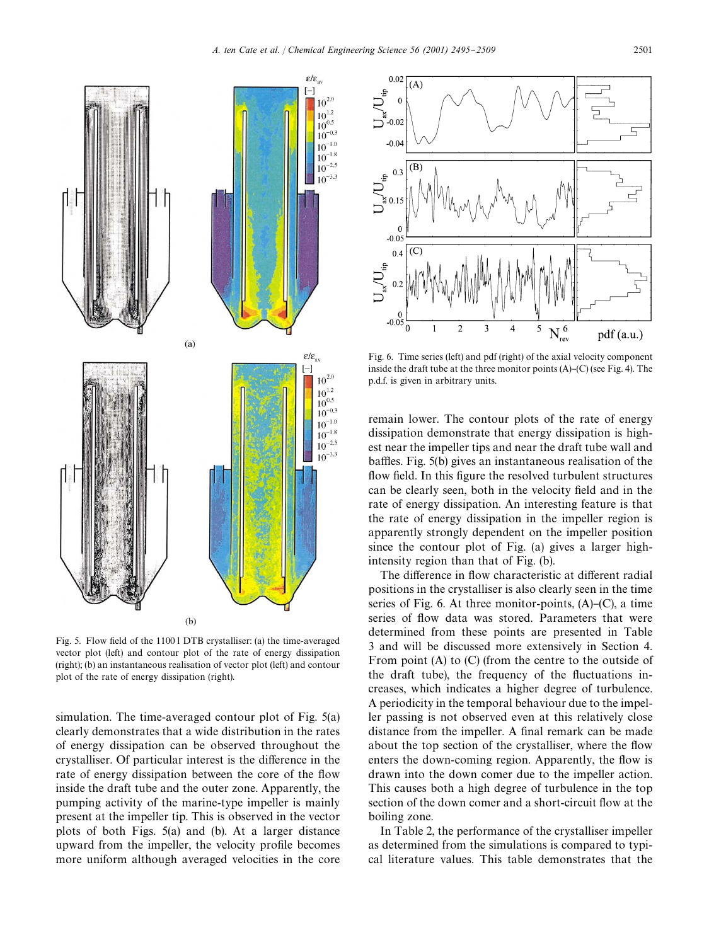

Fig. 5. Flow field of the 1100 l DTB crystalliser: (a) the time-averaged vector plot (left) and contour plot of the rate of energy dissipation (right); (b) an instantaneous realisation of vector plot (left) and contour plot of the rate of energy dissipation (right).

simulation. The time-averaged contour plot of Fig. 5(a) clearly demonstrates that a wide distribution in the rates of energy dissipation can be observed throughout the crystalliser. Of particular interest is the difference in the rate of energy dissipation between the core of the flow inside the draft tube and the outer zone. Apparently, the pumping activity of the marine-type impeller is mainly present at the impeller tip. This is observed in the vector plots of both Figs. 5(a) and (b). At a larger distance upward from the impeller, the velocity profile becomes more uniform although averaged velocities in the core



Fig. 6. Time series (left) and pdf (right) of the axial velocity component inside the draft tube at the three monitor points  $(A)$ – $(C)$  (see Fig. 4). The p.d.f. is given in arbitrary units.

remain lower. The contour plots of the rate of energy dissipation demonstrate that energy dissipation is highest near the impeller tips and near the draft tube wall and baffles. Fig. 5(b) gives an instantaneous realisation of the flow field. In this figure the resolved turbulent structures can be clearly seen, both in the velocity field and in the rate of energy dissipation. An interesting feature is that the rate of energy dissipation in the impeller region is apparently strongly dependent on the impeller position since the contour plot of Fig. (a) gives a larger highintensity region than that of Fig. (b).

The difference in flow characteristic at different radial positions in the crystalliser is also clearly seen in the time series of Fig. 6. At three monitor-points,  $(A)$ – $(C)$ , a time series of flow data was stored. Parameters that were determined from these points are presented in Table 3 and will be discussed more extensively in Section 4. From point (A) to (C) (from the centre to the outside of the draft tube), the frequency of the fluctuations increases, which indicates a higher degree of turbulence. A periodicity in the temporal behaviour due to the impeller passing is not observed even at this relatively close distance from the impeller. A final remark can be made about the top section of the crystalliser, where the flow enters the down-coming region. Apparently, the flow is drawn into the down comer due to the impeller action. This causes both a high degree of turbulence in the top section of the down comer and a short-circuit flow at the boiling zone.

In Table 2, the performance of the crystalliser impeller as determined from the simulations is compared to typical literature values. This table demonstrates that the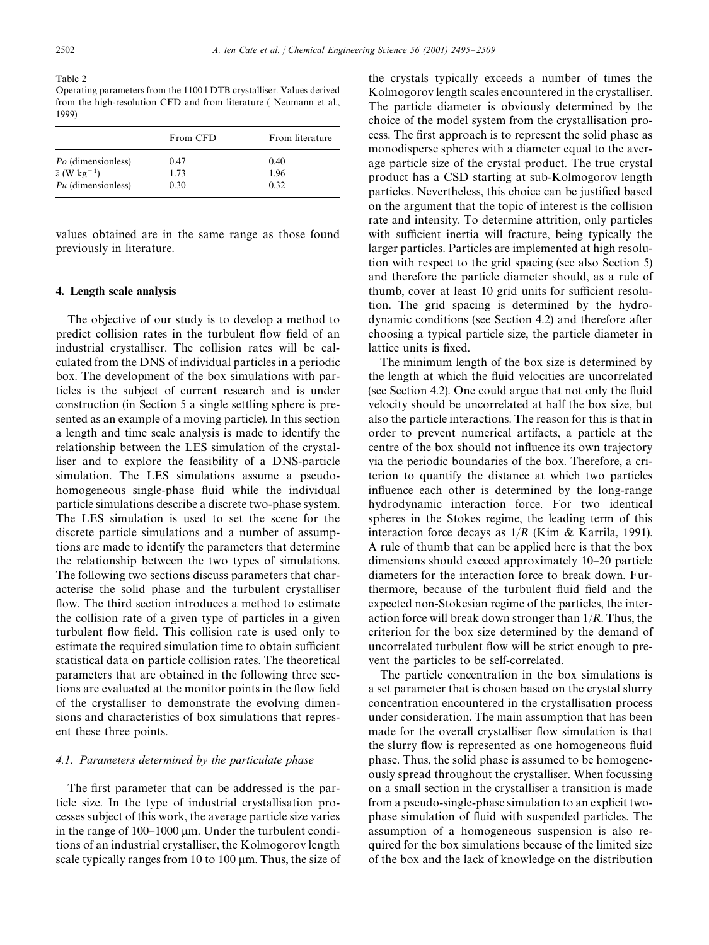Table 2 Operating parameters from the 1100 l DTB crystalliser. Values derived from the high-resolution CFD and from literature ( Neumann et al., 1999)

|                                           | From CFD | From literature |
|-------------------------------------------|----------|-----------------|
| Po (dimensionless)                        | 0.47     | 0.40            |
| $\bar{\varepsilon}$ (W kg <sup>-1</sup> ) | 1.73     | 1.96            |
| Pu (dimensionless)                        | 0.30     | 0.32            |

values obtained are in the same range as those found previously in literature.

## 4. Length scale analysis

The objective of our study is to develop a method to predict collision rates in the turbulent flow field of an industrial crystalliser. The collision rates will be calculated from the DNS of individual particles in a periodic box. The development of the box simulations with particles is the subject of current research and is under construction (in Section 5 a single settling sphere is presented as an example of a moving particle). In this section a length and time scale analysis is made to identify the relationship between the LES simulation of the crystalliser and to explore the feasibility of a DNS-particle simulation. The LES simulations assume a pseudohomogeneous single-phase fluid while the individual particle simulations describe a discrete two-phase system. The LES simulation is used to set the scene for the discrete particle simulations and a number of assumptions are made to identify the parameters that determine the relationship between the two types of simulations. The following two sections discuss parameters that characterise the solid phase and the turbulent crystalliser flow. The third section introduces a method to estimate the collision rate of a given type of particles in a given turbulent flow field. This collision rate is used only to estimate the required simulation time to obtain sufficient statistical data on particle collision rates. The theoretical parameters that are obtained in the following three sections are evaluated at the monitor points in the flow field of the crystalliser to demonstrate the evolving dimensions and characteristics of box simulations that represent these three points.

#### *4.1. Parameters determined by the particulate phase*

The first parameter that can be addressed is the particle size. In the type of industrial crystallisation processes subject of this work, the average particle size varies in the range of  $100-1000 \mu m$ . Under the turbulent conditions of an industrial crystalliser, the Kolmogorov length scale typically ranges from 10 to 100  $\mu$ m. Thus, the size of the crystals typically exceeds a number of times the Kolmogorov length scales encountered in the crystalliser. The particle diameter is obviously determined by the choice of the model system from the crystallisation process. The first approach is to represent the solid phase as monodisperse spheres with a diameter equal to the average particle size of the crystal product. The true crystal product has a CSD starting at sub-Kolmogorov length particles. Nevertheless, this choice can be justified based on the argument that the topic of interest is the collision rate and intensity. To determine attrition, only particles with sufficient inertia will fracture, being typically the larger particles. Particles are implemented at high resolution with respect to the grid spacing (see also Section 5) and therefore the particle diameter should, as a rule of thumb, cover at least 10 grid units for sufficient resolution. The grid spacing is determined by the hydrodynamic conditions (see Section 4.2) and therefore after choosing a typical particle size, the particle diameter in lattice units is fixed.

The minimum length of the box size is determined by the length at which the fluid velocities are uncorrelated (see Section 4.2). One could argue that not only the fluid velocity should be uncorrelated at half the box size, but also the particle interactions. The reason for this is that in order to prevent numerical artifacts, a particle at the centre of the box should not influence its own trajectory via the periodic boundaries of the box. Therefore, a criterion to quantify the distance at which two particles influence each other is determined by the long-range hydrodynamic interaction force. For two identical spheres in the Stokes regime, the leading term of this interaction force decays as 1/*R* (Kim & Karrila, 1991). A rule of thumb that can be applied here is that the box dimensions should exceed approximately 10-20 particle diameters for the interaction force to break down. Furthermore, because of the turbulent fluid field and the expected non-Stokesian regime of the particles, the interaction force will break down stronger than 1/*R*. Thus, the criterion for the box size determined by the demand of uncorrelated turbulent flow will be strict enough to prevent the particles to be self-correlated.

The particle concentration in the box simulations is a set parameter that is chosen based on the crystal slurry concentration encountered in the crystallisation process under consideration. The main assumption that has been made for the overall crystalliser flow simulation is that the slurry flow is represented as one homogeneous fluid phase. Thus, the solid phase is assumed to be homogeneously spread throughout the crystalliser. When focussing on a small section in the crystalliser a transition is made from a pseudo-single-phase simulation to an explicit twophase simulation of fluid with suspended particles. The assumption of a homogeneous suspension is also required for the box simulations because of the limited size of the box and the lack of knowledge on the distribution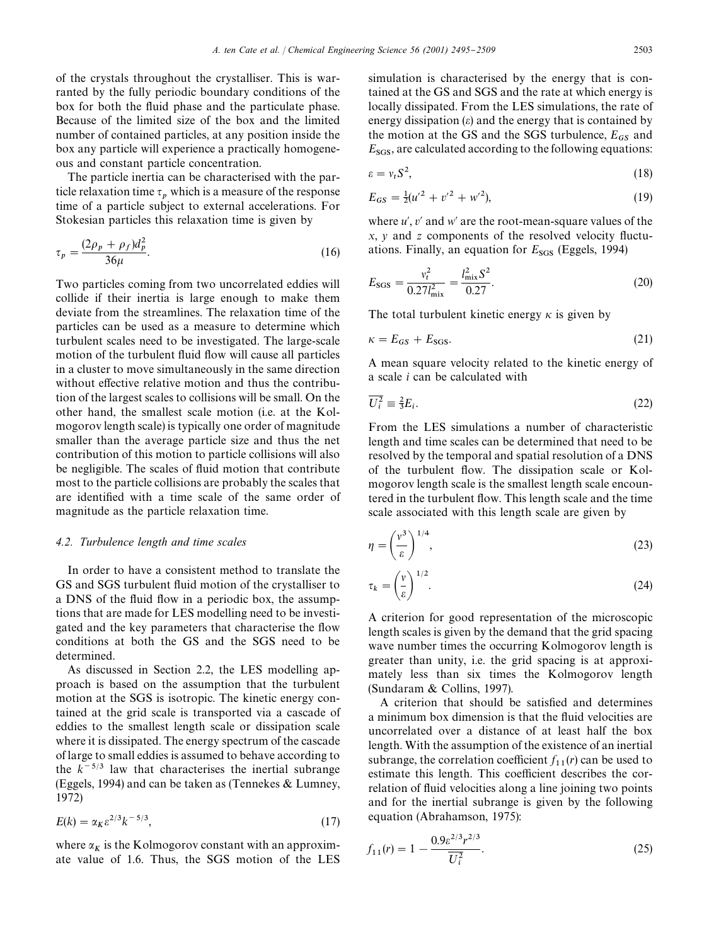of the crystals throughout the crystalliser. This is warranted by the fully periodic boundary conditions of the box for both the fluid phase and the particulate phase. Because of the limited size of the box and the limited number of contained particles, at any position inside the box any particle will experience a practically homogeneous and constant particle concentration.

The particle inertia can be characterised with the particle relaxation time  $\tau_p$  which is a measure of the response time of a particle subject to external accelerations. For Stokesian particles this relaxation time is given by

$$
\tau_p = \frac{(2\rho_p + \rho_f)d_p^2}{36\mu}.
$$
\n(16)

Two particles coming from two uncorrelated eddies will collide if their inertia is large enough to make them deviate from the streamlines. The relaxation time of the particles can be used as a measure to determine which turbulent scales need to be investigated. The large-scale motion of the turbulent fluid flow will cause all particles in a cluster to move simultaneously in the same direction without effective relative motion and thus the contribution of the largest scales to collisions will be small. On the other hand, the smallest scale motion (i.e. at the Kolmogorov length scale) is typically one order of magnitude smaller than the average particle size and thus the net contribution of this motion to particle collisions will also be negligible. The scales of fluid motion that contribute most to the particle collisions are probably the scales that are identified with a time scale of the same order of magnitude as the particle relaxation time.

#### *4.2. Turbulence length and time scales*

In order to have a consistent method to translate the GS and SGS turbulent fluid motion of the crystalliser to a DNS of the fluid flow in a periodic box, the assumptions that are made for LES modelling need to be investigated and the key parameters that characterise the flow conditions at both the GS and the SGS need to be determined.

As discussed in Section 2.2, the LES modelling approach is based on the assumption that the turbulent motion at the SGS is isotropic. The kinetic energy contained at the grid scale is transported via a cascade of eddies to the smallest length scale or dissipation scale where it is dissipated. The energy spectrum of the cascade of large to small eddies is assumed to behave according to the  $k^{-5/3}$  law that characterises the inertial subrange (Eggels, 1994) and can be taken as (Tennekes & Lumney, 1972)

$$
E(k) = \alpha_K \varepsilon^{2/3} k^{-5/3},\tag{17}
$$

where  $\alpha_K$  is the Kolmogorov constant with an approximate value of 1.6. Thus, the SGS motion of the LES simulation is characterised by the energy that is contained at the GS and SGS and the rate at which energy is locally dissipated. From the LES simulations, the rate of energy dissipation  $(\varepsilon)$  and the energy that is contained by the motion at the GS and the SGS turbulence,  $E_{GS}$  and *E*<sub>SGS</sub>, are calculated according to the following equations:

$$
\varepsilon = v_t S^2,\tag{18}
$$

$$
E_{GS} = \frac{1}{2}(u'^2 + v'^2 + w'^2),\tag{19}
$$

where *u'*, *v'* and *w'* are the root-mean-square values of the *x*, *y* and *z* components of the resolved velocity fluctuations. Finally, an equation for  $E_{SGS}$  (Eggels, 1994)

$$
E_{\text{SGS}} = \frac{v_t^2}{0.27 l_{\text{mix}}^2} = \frac{l_{\text{mix}}^2 S^2}{0.27}.
$$
 (20)

The total turbulent kinetic energy  $\kappa$  is given by

$$
\kappa = E_{GS} + E_{SGS}.\tag{21}
$$

A mean square velocity related to the kinetic energy of a scale *i* can be calculated with

$$
\overline{U_i^2} \equiv \frac{2}{3} E_i. \tag{22}
$$

From the LES simulations a number of characteristic length and time scales can be determined that need to be resolved by the temporal and spatial resolution of a DNS of the turbulent flow. The dissipation scale or Kolmogorov length scale is the smallest length scale encountered in the turbulent flow. This length scale and the time scale associated with this length scale are given by

$$
\eta = \left(\frac{v^3}{\varepsilon}\right)^{1/4},\tag{23}
$$

$$
\tau_k = \left(\frac{v}{\varepsilon}\right)^{1/2}.\tag{24}
$$

A criterion for good representation of the microscopic length scales is given by the demand that the grid spacing wave number times the occurring Kolmogorov length is greater than unity, i.e. the grid spacing is at approximately less than six times the Kolmogorov length (Sundaram & Collins, 1997).

A criterion that should be satisfied and determines a minimum box dimension is that the fluid velocities are uncorrelated over a distance of at least half the box length. With the assumption of the existence of an inertial subrange, the correlation coefficient  $f_{11}(r)$  can be used to estimate this length. This coefficient describes the correlation of fluid velocities along a line joining two points and for the inertial subrange is given by the following equation (Abrahamson, 1975):

$$
f_{11}(r) = 1 - \frac{0.9 \varepsilon^{2/3} r^{2/3}}{\overline{U}_i^2}.
$$
 (25)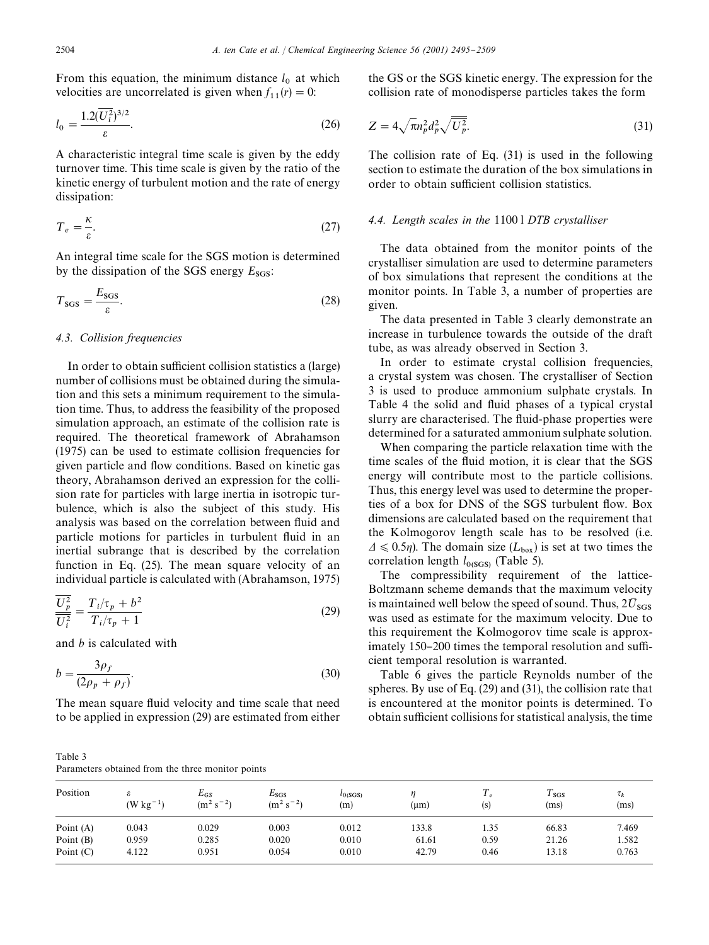From this equation, the minimum distance  $l_0$  at which velocities are uncorrelated is given when  $f_{11}(r) = 0$ :

$$
l_0 = \frac{1.2(\overline{U_i^2})^{3/2}}{\varepsilon}.
$$
\n(26)

A characteristic integral time scale is given by the eddy turnover time. This time scale is given by the ratio of the kinetic energy of turbulent motion and the rate of energy dissipation:

$$
T_e = \frac{\kappa}{\varepsilon}.\tag{27}
$$

An integral time scale for the SGS motion is determined by the dissipation of the SGS energy  $E_{SGS}$ :

$$
T_{\text{SGS}} = \frac{E_{\text{SGS}}}{\varepsilon}.
$$
\n(28)

# *4.3. Collision frequencies*

In order to obtain sufficient collision statistics a (large) number of collisions must be obtained during the simulation and this sets a minimum requirement to the simulation time. Thus, to address the feasibility of the proposed simulation approach, an estimate of the collision rate is required. The theoretical framework of Abrahamson (1975) can be used to estimate collision frequencies for given particle and #ow conditions. Based on kinetic gas theory, Abrahamson derived an expression for the collision rate for particles with large inertia in isotropic turbulence, which is also the subject of this study. His analysis was based on the correlation between fluid and particle motions for particles in turbulent fluid in an inertial subrange that is described by the correlation function in Eq. (25). The mean square velocity of an individual particle is calculated with (Abrahamson, 1975)

$$
\frac{U_p^2}{U_i^2} = \frac{T_i/\tau_p + b^2}{T_i/\tau_p + 1}
$$
\n(29)

and *b* is calculated with

$$
b = \frac{3\rho_f}{(2\rho_p + \rho_f)}.\tag{30}
$$

The mean square fluid velocity and time scale that need to be applied in expression (29) are estimated from either

Table 3 Parameters obtained from the three monitor points

the GS or the SGS kinetic energy. The expression for the collision rate of monodisperse particles takes the form

$$
Z = 4\sqrt{\pi n_p^2 d_p^2 \sqrt{U_p^2}}.
$$
\n(31)

The collision rate of Eq. (31) is used in the following section to estimate the duration of the box simulations in order to obtain sufficient collision statistics.

#### *4.4. Length scales in the* 1100 l *DTB crystalliser*

The data obtained from the monitor points of the crystalliser simulation are used to determine parameters of box simulations that represent the conditions at the monitor points. In Table 3, a number of properties are given.

The data presented in Table 3 clearly demonstrate an increase in turbulence towards the outside of the draft tube, as was already observed in Section 3.

In order to estimate crystal collision frequencies, a crystal system was chosen. The crystalliser of Section 3 is used to produce ammonium sulphate crystals. In Table 4 the solid and fluid phases of a typical crystal slurry are characterised. The fluid-phase properties were determined for a saturated ammonium sulphate solution.

When comparing the particle relaxation time with the time scales of the fluid motion, it is clear that the SGS energy will contribute most to the particle collisions. Thus, this energy level was used to determine the properties of a box for DNS of the SGS turbulent flow. Box dimensions are calculated based on the requirement that the Kolmogorov length scale has to be resolved (i.e.  $\Delta \leq 0.5\eta$ ). The domain size ( $L_{\text{box}}$ ) is set at two times the correlation length *l*<sub>0(SGS)</sub> (Table 5).

The compressibility requirement of the lattice-Boltzmann scheme demands that the maximum velocity is maintained well below the speed of sound. Thus,  $2\bar{U}_{SGS}$  was used as estimate for the maximum velocity. Due to this requirement the Kolmogorov time scale is approximately  $150-200$  times the temporal resolution and sufficient temporal resolution is warranted.

Table 6 gives the particle Reynolds number of the spheres. By use of Eq. (29) and (31), the collision rate that is encountered at the monitor points is determined. To obtain sufficient collisions for statistical analysis, the time

| Position    | $(W kg-1)$ | $E_{GS}$<br>$(m^2 s^{-2})$ | $E_{\rm SGS}$<br>$(m^2 s^{-2})$ | $l_{O(SGS)}$<br>(m) | $(\mu m)$ | $\overline{e}$<br>(s) | $\frac{1}{s}$<br>(ms) | $\tau_k$<br>(ms) |
|-------------|------------|----------------------------|---------------------------------|---------------------|-----------|-----------------------|-----------------------|------------------|
| Point (A)   | 0.043      | 0.029                      | 0.003                           | 0.012               | 133.8     | 1.35                  | 66.83                 | 7.469            |
| Point $(B)$ | 0.959      | 0.285                      | 0.020                           | 0.010               | 61.61     | 0.59                  | 21.26                 | 1.582            |
| Point $(C)$ | 4.122      | 0.951                      | 0.054                           | 0.010               | 42.79     | 0.46                  | 13.18                 | 0.763            |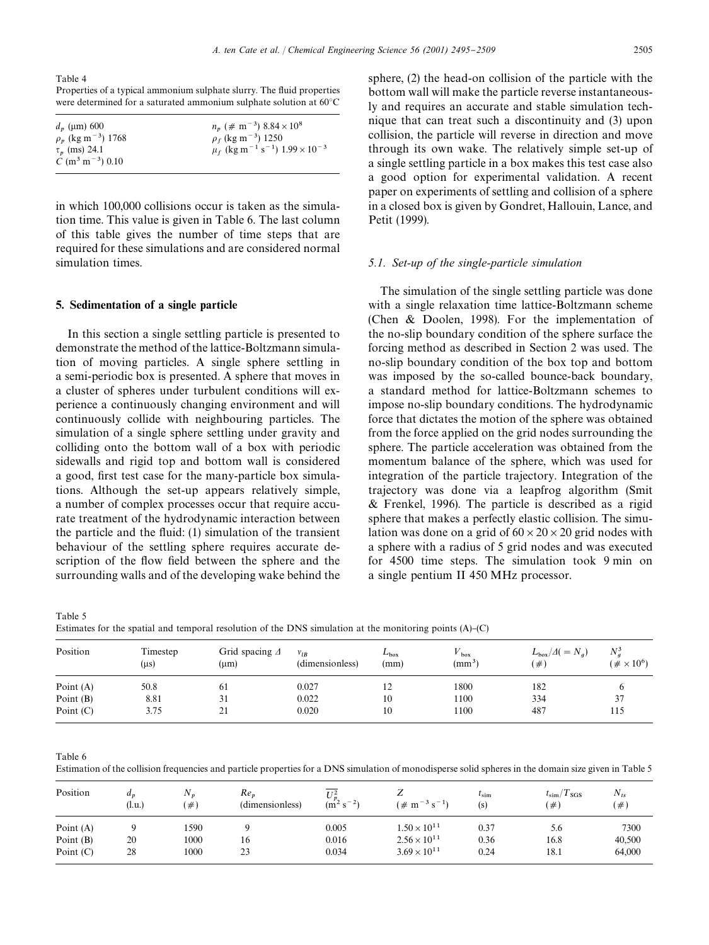Table 4 Properties of a typical ammonium sulphate slurry. The fluid properties

|                                | were determined for a saturated ammonium sulphate solution at $60^{\circ}$ C |  |
|--------------------------------|------------------------------------------------------------------------------|--|
| $J_{\text{max}}$ $\epsilon$ 00 | $\mu$ ( $\mu$ m = 3) 0.04 $\sqrt{10.8}$                                      |  |

| $d_n$ (µm) 600                        | $n_n$ (# m <sup>-3</sup> ) 8.84 × 10 <sup>8</sup>                            |
|---------------------------------------|------------------------------------------------------------------------------|
| $\rho_p$ (kg m <sup>-3</sup> ) 1768   | $\rho_f$ (kg m <sup>-3</sup> ) 1250                                          |
| $\tau_{n}$ (ms) 24.1                  | $\mu_f$ (kg m <sup>-1</sup> s <sup>-1</sup> ) 1.99 $\times$ 10 <sup>-3</sup> |
| $C \text{ (m}^3 \text{ m}^{-3})$ 0.10 |                                                                              |

in which 100,000 collisions occur is taken as the simulation time. This value is given in Table 6. The last column of this table gives the number of time steps that are required for these simulations and are considered normal simulation times.

## 5. Sedimentation of a single particle

In this section a single settling particle is presented to demonstrate the method of the lattice-Boltzmann simulation of moving particles. A single sphere settling in a semi-periodic box is presented. A sphere that moves in a cluster of spheres under turbulent conditions will experience a continuously changing environment and will continuously collide with neighbouring particles. The simulation of a single sphere settling under gravity and colliding onto the bottom wall of a box with periodic sidewalls and rigid top and bottom wall is considered a good, first test case for the many-particle box simulations. Although the set-up appears relatively simple, a number of complex processes occur that require accurate treatment of the hydrodynamic interaction between the particle and the fluid:  $(1)$  simulation of the transient behaviour of the settling sphere requires accurate description of the flow field between the sphere and the surrounding walls and of the developing wake behind the sphere, (2) the head-on collision of the particle with the bottom wall will make the particle reverse instantaneously and requires an accurate and stable simulation technique that can treat such a discontinuity and (3) upon collision, the particle will reverse in direction and move through its own wake. The relatively simple set-up of a single settling particle in a box makes this test case also a good option for experimental validation. A recent paper on experiments of settling and collision of a sphere in a closed box is given by Gondret, Hallouin, Lance, and Petit (1999).

#### *5.1. Set-up of the single-particle simulation*

The simulation of the single settling particle was done with a single relaxation time lattice-Boltzmann scheme (Chen & Doolen, 1998). For the implementation of the no-slip boundary condition of the sphere surface the forcing method as described in Section 2 was used. The no-slip boundary condition of the box top and bottom was imposed by the so-called bounce-back boundary, a standard method for lattice-Boltzmann schemes to impose no-slip boundary conditions. The hydrodynamic force that dictates the motion of the sphere was obtained from the force applied on the grid nodes surrounding the sphere. The particle acceleration was obtained from the momentum balance of the sphere, which was used for integration of the particle trajectory. Integration of the trajectory was done via a leapfrog algorithm (Smit & Frenkel, 1996). The particle is described as a rigid sphere that makes a perfectly elastic collision. The simulation was done on a grid of  $60 \times 20 \times 20$  grid nodes with a sphere with a radius of 5 grid nodes and was executed for 4500 time steps. The simulation took 9 min on a single pentium II 450 MHz processor.

Table 5

Estimates for the spatial and temporal resolution of the DNS simulation at the monitoring points  $(A)$ – $(C)$ 

| Position    | Timestep<br>$(\mu s)$ | Grid spacing $\Delta$<br>(um) | $v_{lB}$<br>(dimensionless) | $L_{\rm box}$<br>(mm) | $V_{\text{box}}$<br>(mm <sup>3</sup> ) | $L_{\rm box}/\varDelta(=N_a)$<br>$(\#)$ | $N_a^3$<br>$(\#\times 10^6)$ |
|-------------|-----------------------|-------------------------------|-----------------------------|-----------------------|----------------------------------------|-----------------------------------------|------------------------------|
| Point $(A)$ | 50.8                  | 61                            | 0.027                       | 12                    | 1800                                   | 182                                     |                              |
| Point (B)   | 8.81                  | 31                            | 0.022                       | 10                    | 1100                                   | 334                                     | 37                           |
| Point $(C)$ | 3.75                  | 21                            | 0.020                       | 10                    | 1100                                   | 487                                     | 115                          |

Table 6

Estimation of the collision frequencies and particle properties for a DNS simulation of monodisperse solid spheres in the domain size given in Table 5

| Position    | $a_{n}$<br>(l.u.) | $N_{n}$<br>$\left( \# \right)$ | $Re_n$<br>(dimensionless) | $TI^2$<br>$(m2 s-2)$ | ∠<br>$(\# \text{ m}^{-3} \text{ s}^{-1})$ | $\iota_{\text{sim}}$<br>(s) | $t_{\rm sim}/T_{\rm SGS}$<br>$(\#^{\circ})$ | $N_{ts}$<br>$\#)$ |
|-------------|-------------------|--------------------------------|---------------------------|----------------------|-------------------------------------------|-----------------------------|---------------------------------------------|-------------------|
| Point $(A)$ |                   | 1590                           |                           | 0.005                | $1.50 \times 10^{11}$                     | 0.37                        | 5.6                                         | 7300              |
| Point (B)   | 20                | 1000                           | 16                        | 0.016                | $2.56 \times 10^{11}$                     | 0.36                        | 16.8                                        | 40,500            |
| Point $(C)$ | 28                | 1000                           | 23                        | 0.034                | $3.69 \times 10^{11}$                     | 0.24                        | 18.1                                        | 64,000            |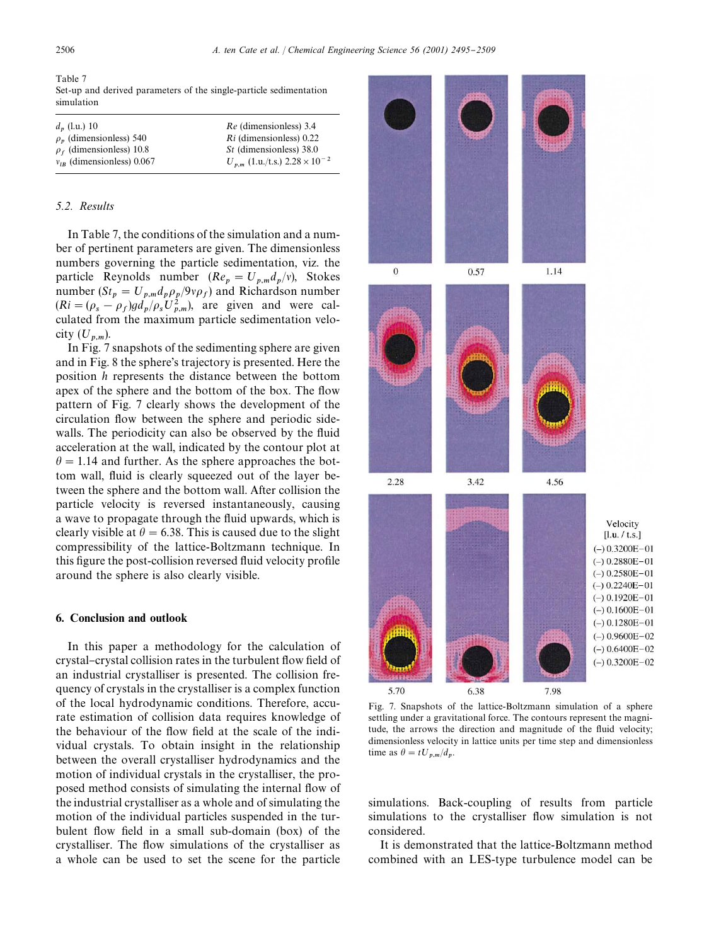Table 7 Set-up and derived parameters of the single-particle sedimentation simulation

| $d_n$ (l.u.) 10                | <i>Re</i> (dimensionless) 3.4               |
|--------------------------------|---------------------------------------------|
| $\rho_n$ (dimensionless) 540   | Ri (dimensionless) 0.22                     |
| $\rho_f$ (dimensionless) 10.8  | <i>St</i> (dimensionless) 38.0              |
| $v_{IR}$ (dimensionless) 0.067 | $U_{p,m}$ (1.u./t.s.) $2.28 \times 10^{-2}$ |

## *5.2. Results*

In Table 7, the conditions of the simulation and a number of pertinent parameters are given. The dimensionless numbers governing the particle sedimentation, viz. the particle Reynolds number  $(Re_p = U_{p,m} d_p/v)$ , Stokes number ( $St_p = U_{p,m} d_p \rho_p / 9v \rho_f$ ) and Richardson number  $(Ri = (\rho_s - \rho_f)gd_p/\rho_s U_{p,m}^2)$ , are given and were cal- culated from the maximum particle sedimentation velocity  $(U_{p,m}).$ 

In Fig. 7 snapshots of the sedimenting sphere are given and in Fig. 8 the sphere's trajectory is presented. Here the position *h* represents the distance between the bottom apex of the sphere and the bottom of the box. The flow pattern of Fig. 7 clearly shows the development of the circulation flow between the sphere and periodic sidewalls. The periodicity can also be observed by the fluid acceleration at the wall, indicated by the contour plot at  $\theta = 1.14$  and further. As the sphere approaches the bottom wall, fluid is clearly squeezed out of the layer between the sphere and the bottom wall. After collision the particle velocity is reversed instantaneously, causing a wave to propagate through the fluid upwards, which is clearly visible at  $\theta = 6.38$ . This is caused due to the slight compressibility of the lattice-Boltzmann technique. In this figure the post-collision reversed fluid velocity profile around the sphere is also clearly visible.

#### 6. Conclusion and outlook

In this paper a methodology for the calculation of crystal-crystal collision rates in the turbulent flow field of an industrial crystalliser is presented. The collision frequency of crystals in the crystalliser is a complex function of the local hydrodynamic conditions. Therefore, accurate estimation of collision data requires knowledge of the behaviour of the flow field at the scale of the individual crystals. To obtain insight in the relationship between the overall crystalliser hydrodynamics and the motion of individual crystals in the crystalliser, the proposed method consists of simulating the internal flow of the industrial crystalliser as a whole and of simulating the motion of the individual particles suspended in the turbulent flow field in a small sub-domain (box) of the crystalliser. The flow simulations of the crystalliser as a whole can be used to set the scene for the particle



Fig. 7. Snapshots of the lattice-Boltzmann simulation of a sphere settling under a gravitational force. The contours represent the magnitude, the arrows the direction and magnitude of the fluid velocity; dimensionless velocity in lattice units per time step and dimensionless time as  $\theta = tU_{p,m}/d_p$ .

simulations. Back-coupling of results from particle simulations to the crystalliser flow simulation is not considered.

It is demonstrated that the lattice-Boltzmann method combined with an LES-type turbulence model can be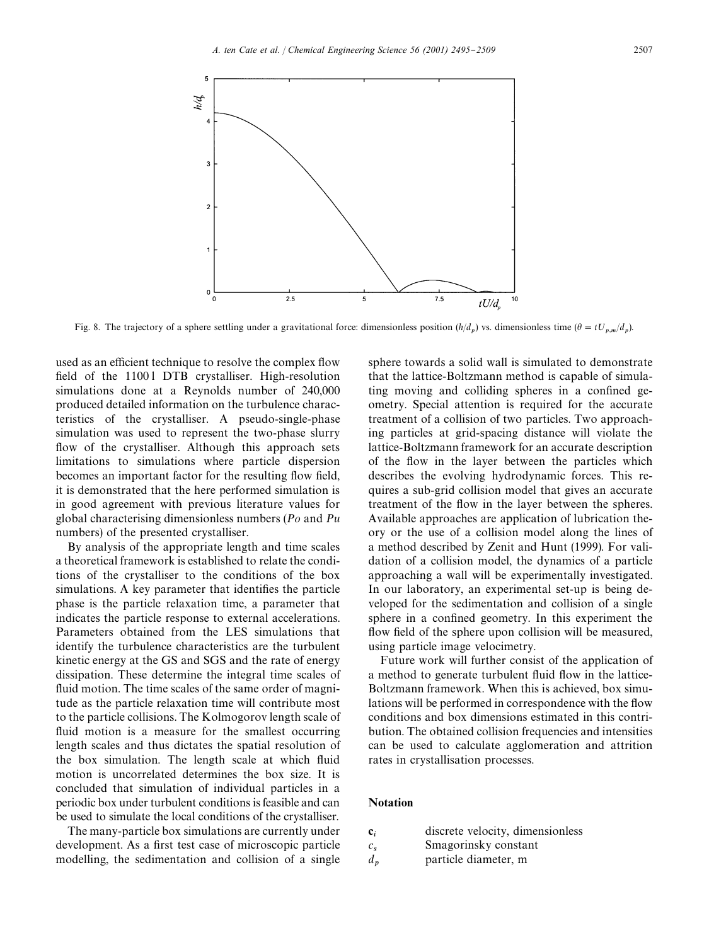

Fig. 8. The trajectory of a sphere settling under a gravitational force: dimensionless position  $(h/d_p)$  vs. dimensionless time  $(\theta = tU_{p,m}/d_p)$ .

used as an efficient technique to resolve the complex flow field of the 11001 DTB crystalliser. High-resolution simulations done at a Reynolds number of 240,000 produced detailed information on the turbulence characteristics of the crystalliser. A pseudo-single-phase simulation was used to represent the two-phase slurry flow of the crystalliser. Although this approach sets limitations to simulations where particle dispersion becomes an important factor for the resulting flow field, it is demonstrated that the here performed simulation is in good agreement with previous literature values for global characterising dimensionless numbers (*Po* and *Pu* numbers) of the presented crystalliser.

By analysis of the appropriate length and time scales a theoretical framework is established to relate the conditions of the crystalliser to the conditions of the box simulations. A key parameter that identifies the particle phase is the particle relaxation time, a parameter that indicates the particle response to external accelerations. Parameters obtained from the LES simulations that identify the turbulence characteristics are the turbulent kinetic energy at the GS and SGS and the rate of energy dissipation. These determine the integral time scales of fluid motion. The time scales of the same order of magnitude as the particle relaxation time will contribute most to the particle collisions. The Kolmogorov length scale of fluid motion is a measure for the smallest occurring length scales and thus dictates the spatial resolution of the box simulation. The length scale at which fluid motion is uncorrelated determines the box size. It is concluded that simulation of individual particles in a periodic box under turbulent conditions is feasible and can be used to simulate the local conditions of the crystalliser.

The many-particle box simulations are currently under development. As a first test case of microscopic particle modelling, the sedimentation and collision of a single

sphere towards a solid wall is simulated to demonstrate that the lattice-Boltzmann method is capable of simulating moving and colliding spheres in a confined geometry. Special attention is required for the accurate treatment of a collision of two particles. Two approaching particles at grid-spacing distance will violate the lattice-Boltzmann framework for an accurate description of the flow in the layer between the particles which describes the evolving hydrodynamic forces. This requires a sub-grid collision model that gives an accurate treatment of the flow in the layer between the spheres. Available approaches are application of lubrication theory or the use of a collision model along the lines of a method described by Zenit and Hunt (1999). For validation of a collision model, the dynamics of a particle approaching a wall will be experimentally investigated. In our laboratory, an experimental set-up is being developed for the sedimentation and collision of a single sphere in a confined geometry. In this experiment the flow field of the sphere upon collision will be measured, using particle image velocimetry.

Future work will further consist of the application of a method to generate turbulent fluid flow in the lattice-Boltzmann framework. When this is achieved, box simulations will be performed in correspondence with the flow conditions and box dimensions estimated in this contribution. The obtained collision frequencies and intensities can be used to calculate agglomeration and attrition rates in crystallisation processes.

# Notation

- $\mathbf{c}_i$ discrete velocity, dimensionless
- *c* Smagorinsky constant
- *d* particle diameter, m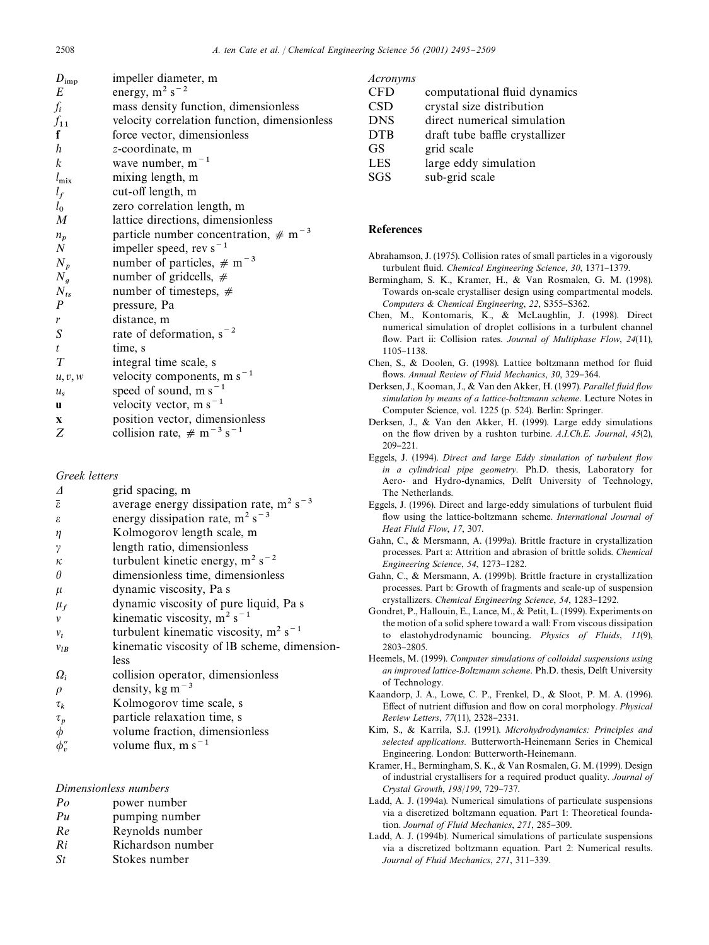| $D_{\rm imp}$    | impeller diameter, m                                 |
|------------------|------------------------------------------------------|
| E                | energy, $m^2$ s <sup>-2</sup>                        |
| $f_i$            | mass density function, dimensionless                 |
| $f_{11}$         | velocity correlation function, dimensionless         |
| f                | force vector, dimensionless                          |
| h                | z-coordinate, m                                      |
| $\boldsymbol{k}$ | wave number, $m^{-1}$                                |
| $l_{\rm mix}$    | mixing length, m                                     |
| $l_f$            | cut-off length, m                                    |
| $l_0$            | zero correlation length, m                           |
| $\boldsymbol{M}$ | lattice directions, dimensionless                    |
| $n_p$            | particle number concentration, $\#$ m <sup>-3</sup>  |
| $\boldsymbol{N}$ | impeller speed, rev $s^{-1}$                         |
| $N_p$            | number of particles, $\#$ m <sup>-3</sup>            |
| $N_q$            | number of gridcells, $#$                             |
| $N_{ts}$         | number of timesteps, $#$                             |
| $\boldsymbol{P}$ | pressure, Pa                                         |
| r                | distance, m                                          |
| $\boldsymbol{S}$ | rate of deformation, $s^{-2}$                        |
| t                | time, s                                              |
| T                | integral time scale, s                               |
| u, v, w          | velocity components, m $s^{-1}$                      |
| $u_{s}$          | speed of sound, m $s^{-1}$                           |
| <b>u</b>         | velocity vector, m $s^{-1}$                          |
| $\mathbf{X}$     | position vector, dimensionless                       |
| Ζ                | collision rate, $\#$ m <sup>-3</sup> s <sup>-1</sup> |

## *Greek letters*

| Δ                   | grid spacing, m                                 |
|---------------------|-------------------------------------------------|
| $\bar{\varepsilon}$ | average energy dissipation rate, $m^2 s^{-3}$   |
| $\epsilon$          | energy dissipation rate, $m^2 s^{-3}$           |
| $\eta$              | Kolmogorov length scale, m                      |
| $\gamma$            | length ratio, dimensionless                     |
| $\kappa$            | turbulent kinetic energy, $m^2$ s <sup>-2</sup> |
| $\theta$            | dimensionless time, dimensionless               |
| $\mu$               | dynamic viscosity, Pa s                         |
| $\mu_f$             | dynamic viscosity of pure liquid, Pa s          |
| v                   | kinematic viscosity, $m^2 s^{-1}$               |
| $v_t$               | turbulent kinematic viscosity, $m^2 s^{-1}$     |
| $v_{lB}$            | kinematic viscosity of IB scheme, dimension-    |
|                     | less                                            |
| $\Omega_i$          | collision operator, dimensionless               |
| $\rho$              | density, $kg m^{-3}$                            |
| $\tau_k$            | Kolmogorov time scale, s                        |
| $\tau_p$            | particle relaxation time, s                     |
| $\phi$              | volume fraction, dimensionless                  |
| $\phi''_v$          | volume flux, m $s^{-1}$                         |
|                     |                                                 |

# *Dimensionless numbers*

- *Po* power number
- *Pu* pumping number
- *Re* Reynolds number
- *Ri* Richardson number
- *St* Stokes number

#### *Acronyms*

| <b>CFD</b> | computational fluid dynamics   |
|------------|--------------------------------|
| <b>CSD</b> | crystal size distribution      |
| <b>DNS</b> | direct numerical simulation    |
| <b>DTB</b> | draft tube baffle crystallizer |
| <b>GS</b>  | grid scale                     |
| <b>LES</b> | large eddy simulation          |
| <b>SGS</b> | sub-grid scale                 |

# References

- Abrahamson, J. (1975). Collision rates of small particles in a vigorously turbulent fluid. *Chemical Engineering Science*, 30, 1371-1379.
- Bermingham, S. K., Kramer, H., & Van Rosmalen, G. M. (1998). Towards on-scale crystalliser design using compartmental models. *Computers* & *Chemical Engineering*, 22, S355-S362.
- Chen, M., Kontomaris, K., & McLaughlin, J. (1998). Direct numerical simulation of droplet collisions in a turbulent channel flow. Part ii: Collision rates. *Journal of Multiphase Flow*, 24(11), 1105-1138.
- Chen, S., & Doolen, G. (1998). Lattice boltzmann method for fluid flows. Annual Review of Fluid Mechanics, 30, 329-364.
- Derksen, J., Kooman, J., & Van den Akker, H. (1997). *Parallel fluid flow simulation by means of a lattice-boltzmann scheme*. Lecture Notes in Computer Science, vol. 1225 (p. 524). Berlin: Springer.
- Derksen, J., & Van den Akker, H. (1999). Large eddy simulations on the #ow driven by a rushton turbine. *A.I.Ch.E. Journal*, *45*(2), 209-221.
- Eggels, J. (1994). *Direct and large Eddy simulation of turbulent flow in a cylindrical pipe geometry*. Ph.D. thesis, Laboratory for Aero- and Hydro-dynamics, Delft University of Technology, The Netherlands.
- Eggels, J. (1996). Direct and large-eddy simulations of turbulent fluid flow using the lattice-boltzmann scheme. *International Journal of Heat Fluid Flow*, *17*, 307.
- Gahn, C., & Mersmann, A. (1999a). Brittle fracture in crystallization processes. Part a: Attrition and abrasion of brittle solids. *Chemical Engineering Science*, 54, 1273-1282.
- Gahn, C., & Mersmann, A. (1999b). Brittle fracture in crystallization processes. Part b: Growth of fragments and scale-up of suspension crystallizers. *Chemical Engineering Science*, 54, 1283-1292.
- Gondret, P., Hallouin, E., Lance, M., & Petit, L. (1999). Experiments on the motion of a solid sphere toward a wall: From viscous dissipation to elastohydrodynamic bouncing. *Physics of Fluids*, *11*(9), 2803-2805
- Heemels, M. (1999). *Computer simulations of colloidal suspensions using an improved lattice-Boltzmann scheme*. Ph.D. thesis, Delft University of Technology.
- Kaandorp, J. A., Lowe, C. P., Frenkel, D., & Sloot, P. M. A. (1996). Effect of nutrient diffusion and flow on coral morphology. Physical *Review Letters*,  $77(11)$ , 2328-2331.
- Kim, S., & Karrila, S.J. (1991). *Microhydrodynamics: Principles and selected applications.* Butterworth-Heinemann Series in Chemical Engineering. London: Butterworth-Heinemann.
- Kramer, H., Bermingham, S. K., & Van Rosmalen, G. M. (1999). Design of industrial crystallisers for a required product quality. *Journal of Crystal Growth, 198/199, 729-737.*
- Ladd, A. J. (1994a). Numerical simulations of particulate suspensions via a discretized boltzmann equation. Part 1: Theoretical foundation. *Journal of Fluid Mechanics*, 271, 285-309.
- Ladd, A. J. (1994b). Numerical simulations of particulate suspensions via a discretized boltzmann equation. Part 2: Numerical results. *Journal of Fluid Mechanics*, 271, 311-339.